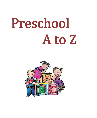# Preschool A to Z

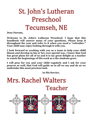# St. John's Lutheran Preschool Tecumseh, NE

**Dear Parents,**

**Welcome to St. John's Lutheran Preschool. I hope that this handbook will answer many of your questions. Please keep it throughout the year and refer to it when you need a "refresher." Your child may enjoy looking through it with you.**

**I look forward to working with you as a team to help your child bloom and develop in his or her own special way. I know that God has great plans for all of us and it is my great delight as a teacher to watch the beginnings of His work as a the students grow.**

**I will pray for you and your child regularly and I ask for your prayers as well, that God will guide us in all we say and do as we undertake this most precious task.**

**In His Service,**



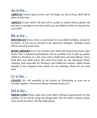# Aa is for…

ARRIVAL School opens at 8:00 am. We begin our day at 8:30. Roll will be taken at that time.

**ABSENT** If your child is ill and will be unable to attend school, please call and leave a message on my voice mail (402-921-8980) so that we can pray for your child.

# Bb is for…

**BIRTHDAYS** If you wish to send treats for your child's birthday, please let me know, so you can be advised of any classroom allergies. Birthday treats will be served at snack time.

**BOOK ORDERS** Every few months your child will bring home book order forms. This is optional participation, but an excellent way to pick up quality children's literature at a fair price and to build their personal library. Every book that your child orders also earns free books for our classroom. When ordering, look especially for Newberry and Caldecotts winners. Make checks payable to the company from which you are ordering. Please do not send cash.

#### Cc is for…

**CHAPEL** We will assemble in the church on Wednesday at 9:00 am to worship together. Parents are always welcome to join us!!

# Dd is for…

**DRESS CODE** Please make sure your child is dressed appropriately for the weather, as we will be using the playground. Also for safety reasons, please wear closed-toe shoes. NO flip-flops please.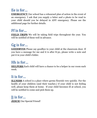# Ee is for…

**EMERGENCY** Our school has a rehearsed plan of action in the event of an emergency. I ask that you supply a letter and a photo to be read to your child should you be delayed in ANY emergency. Please see the additional page for further details.

#### Ff is for…

**FIELD TRIPS** We will be taking field trips throughout the year. You will be notified of these well in advance.

# Gg is for…

**GOODBYES** Please say goodbye to your child at the classroom door. If you have a message for me and it is after 8:30, please write a note and put it in your child's folder.

#### Hh is for…

**HELPERS** Each child will have a chance to be a helper in our room each week.

#### Ii is for…

**ILLNESS** A school is a place where germs flourish very quickly. For the health of your children (and their teacher,) if your child is not feeling well, please keep them at home. If your child becomes ill at school, you will be notified to come and pick them up.

Jj is for… **JESUS!** Our Special Friend!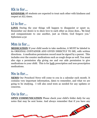# Kk is for…

**KINDNESS** All students are expected to treat each other with kindness and respect at ALL times.

#### Ll is for…

**LOVE** During the year things will happen to disappoint or upset us. Remember our desire is to show love to each other as Jesus does…"Be kind and compassionate to one another, just as Christ, God forgave you." Ephesians 4:32

#### Mm is for…

**MEDICATION** If your child needs to take medicine, it MUST be labeled in its ORIGINAL CONTAINER AND GIVEN DIRECTLY TO ME, with written directions. A medication permission record must be signed by a parent. This includes over the counter medications such as cough drops as well. You must also sign a permission slip giving me and our aide permission to give medications to your child. This is for <u>both</u> prescription and non-prescription medications.

#### Nn is for…

**NEWS** Our Preschool News will come to you in a calendar each month. It contains very important information, dates to remember, and what we are going to be studying. I will also send texts as needed for any updates or concerns.

#### Oo is for…

**OPEN COMMUNICATION** Please check your child's folder daily for any notes that may be sent home. And always remember that if you have any

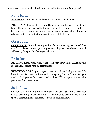questions or concerns, that I welcome your calls. We are in this together!

# Pp is for…

**PARTIES** Holiday parties will be announced well in advance.

**PICK-UP** We dismiss at 11:30 am. Children should be picked up at that time. They will be escorted to the parking lot for pick up. If a child is to be picked up by someone other than a parent, please let me know in advance, with either a text or a note in your child's folder.

# Qq is for…

**QUESTIONS?** If you have a question about something please feel free to call and leave a message on my voicemail 402-921-8980 or at email address stjohnspreschool1419@gmail.com

# Rr is for…

**READING** Read, read, read, read! Read with your child. Children who are read to, become readers themselves!

**REPORT CARDS** Progress reports occur two times during the year. We have Parent/Teacher conferences in the spring. Please do not feel you need to limit yourself to these "check-points." I'd be happy to meet with you other than these times.

#### Ss is for…

**SNACK** We will have a morning snack each day. St. John's Preschool will be providing snacks every day. If you wish to provide snacks for a special occasion please call Mrs. Walters and let her know.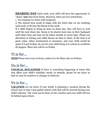**SHARING DAY** Each week, your child will have the opportunity to "share" **one** item from home. However, there are two restrictions:

1. No weapons (or items with weapons)

2. The shared item needs to begin with the letter that we are studying each week, or fit into the theme of the week.

If a child forgets to bring an item on share day, they will have to wait until the next share day. Items to be shared must stay in their backpack until share time and may not be taken outside at recess time. Please use discretion in letting your child choose an item to share. If the item is of great value, either sentimental or monetary, and your child would be upset if it got broken, do not let your child bring it to school as accidents do happen. Share day will be on Friday.

#### Tt is for…

**TOYS** Please leave toys at home, unless it is for Share day on Fridays.

#### Uu is for…

**UNUSUAL SITUATIONS** If there is something happening at home that may affect your child's schedule, mood, or attitude, please let me know so that we may be sensitive to changes in behavior.

# Vv is for…

**VACATION** Let me know if your family is planning a vacation during the school year so that I may gather school work that will be covered during your child's absence. The work can be done on the vacation and your child will not be behind upon return.